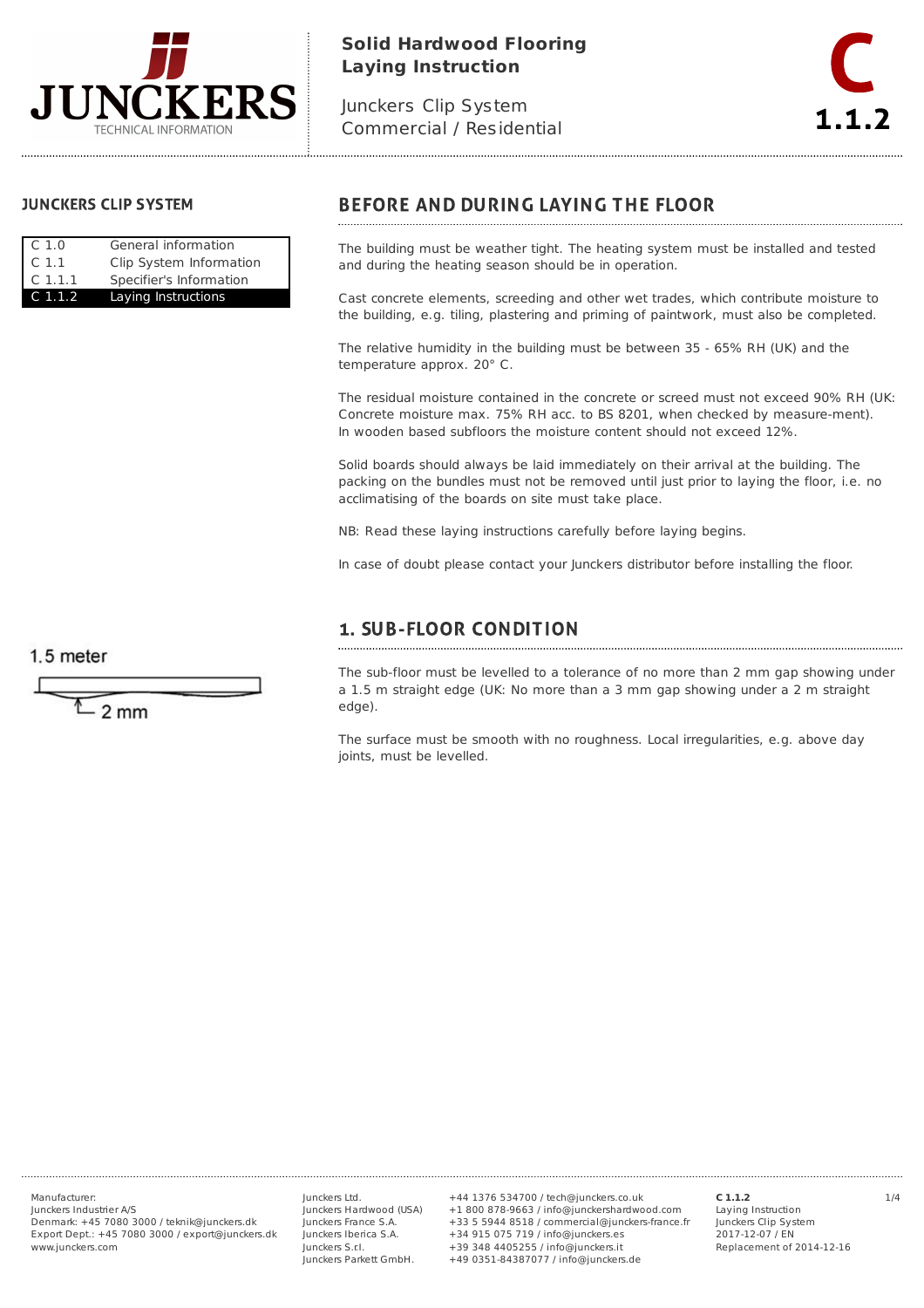

# **Solid Hardwood Flooring Laying Instruction**

Junckers Clip System Commercial / Residential



#### **JUNCKERS CLIP SYSTEM**

| C.1.0              | General information     |
|--------------------|-------------------------|
| C <sub>1.1</sub>   | Clip System Information |
| C <sub>1.1.1</sub> | Specifier's Information |
| C 1.1.2            | Laying Instructions     |

## **BEFORE AND DURING LAYING THE FLOOR**

The building must be weather tight. The heating system must be installed and tested and during the heating season should be in operation.

Cast concrete elements, screeding and other wet trades, which contribute moisture to the building, e.g. tiling, plastering and priming of paintwork, must also be completed.

The relative humidity in the building must be between 35 - 65% RH (UK) and the temperature approx. 20° C.

The residual moisture contained in the concrete or screed must not exceed 90% RH (UK: Concrete moisture max. 75% RH acc. to BS 8201, when checked by measure-ment). In wooden based subfloors the moisture content should not exceed 12%.

Solid boards should always be laid immediately on their arrival at the building. The packing on the bundles must not be removed until just prior to laying the floor, i.e. no acclimatising of the boards on site must take place.

NB: Read these laying instructions carefully before laying begins.

In case of doubt please contact your Junckers distributor before installing the floor.

# **1. SUB-FLOOR CONDITION**

The sub-floor must be levelled to a tolerance of no more than 2 mm gap showing under a 1.5 m straight edge (UK: No more than a 3 mm gap showing under a 2 m straight edge).

The surface must be smooth with no roughness. Local irregularities, e.g. above day joints, must be levelled.

 $1.5$  meter

 $2<sub>mm</sub>$ 

Junckers Industrier A/S Denmark: +45 7080 3000 / teknik@junckers.dk Export Dept.: +45 7080 3000 / export@junckers.dk www.junckers.com

Junckers Ltd. Junckers Hardwood (USA) Junckers France S.A. Junckers Iberica S.A. Junckers S.r.I. Junckers Parkett GmbH.

Manufacturer: 1/4 +44 1376 534700 / tech@junckers.co.uk +1 800 878-9663 / info@junckershardwood.com +33 5 5944 8518 / commercial@junckers-france.fr +34 915 075 719 / info@junckers.es +39 348 4405255 / info@junckers.it +49 0351-84387077 / info@junckers.de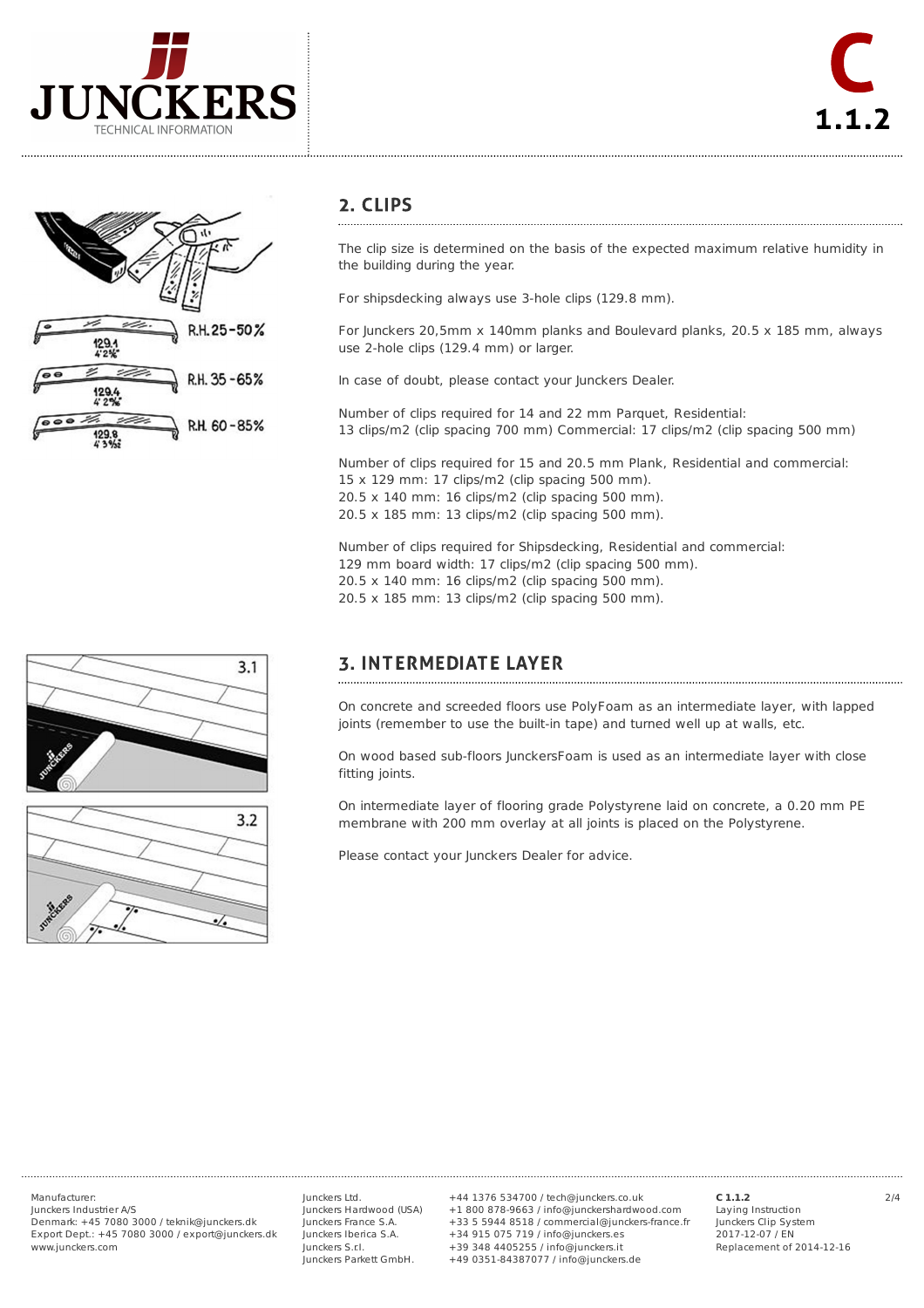



#### 2. CLIPS

The clip size is determined on the basis of the expected maximum relative humidity in the building during the year.

For shipsdecking always use 3-hole clips (129.8 mm).

For Junckers 20,5mm x 140mm planks and Boulevard planks, 20.5 x 185 mm, always use 2-hole clips (129.4 mm) or larger.

In case of doubt, please contact your Junckers Dealer.

Number of clips required for 14 and 22 mm Parquet, Residential: 13 clips/m2 (clip spacing 700 mm) Commercial: 17 clips/m2 (clip spacing 500 mm)

Number of clips required for 15 and 20.5 mm Plank, Residential and commercial: 15 x 129 mm: 17 clips/m2 (clip spacing 500 mm). 20.5 x 140 mm: 16 clips/m2 (clip spacing 500 mm). 20.5 x 185 mm: 13 clips/m2 (clip spacing 500 mm).

Number of clips required for Shipsdecking, Residential and commercial: 129 mm board width: 17 clips/m2 (clip spacing 500 mm). 20.5 x 140 mm: 16 clips/m2 (clip spacing 500 mm). 20.5 x 185 mm: 13 clips/m2 (clip spacing 500 mm).

# **3. INTERMEDIATE LAYER**

On concrete and screeded floors use PolyFoam as an intermediate layer, with lapped joints (remember to use the built-in tape) and turned well up at walls, etc.

On wood based sub-floors JunckersFoam is used as an intermediate layer with close fitting joints.

On intermediate layer of flooring grade Polystyrene laid on concrete, a 0.20 mm PE membrane with 200 mm overlay at all joints is placed on the Polystyrene.

Please contact your Junckers Dealer for advice.





Junckers Industrier A/S

Denmark: +45 7080 3000 / teknik@junckers.dk Export Dept.: +45 7080 3000 / export@junckers.dk www.junckers.com

Junckers Ltd. Junckers Hardwood (USA) Junckers France S.A. Junckers Iberica S.A. Junckers S.r.I. Junckers Parkett GmbH.

Manufacturer: 2/4 +44 1376 534700 / tech@junckers.co.uk +1 800 878-9663 / info@junckershardwood.com +33 5 5944 8518 / commercial@junckers-france.fr +34 915 075 719 / info@junckers.es +39 348 4405255 / info@junckers.it +49 0351-84387077 / info@junckers.de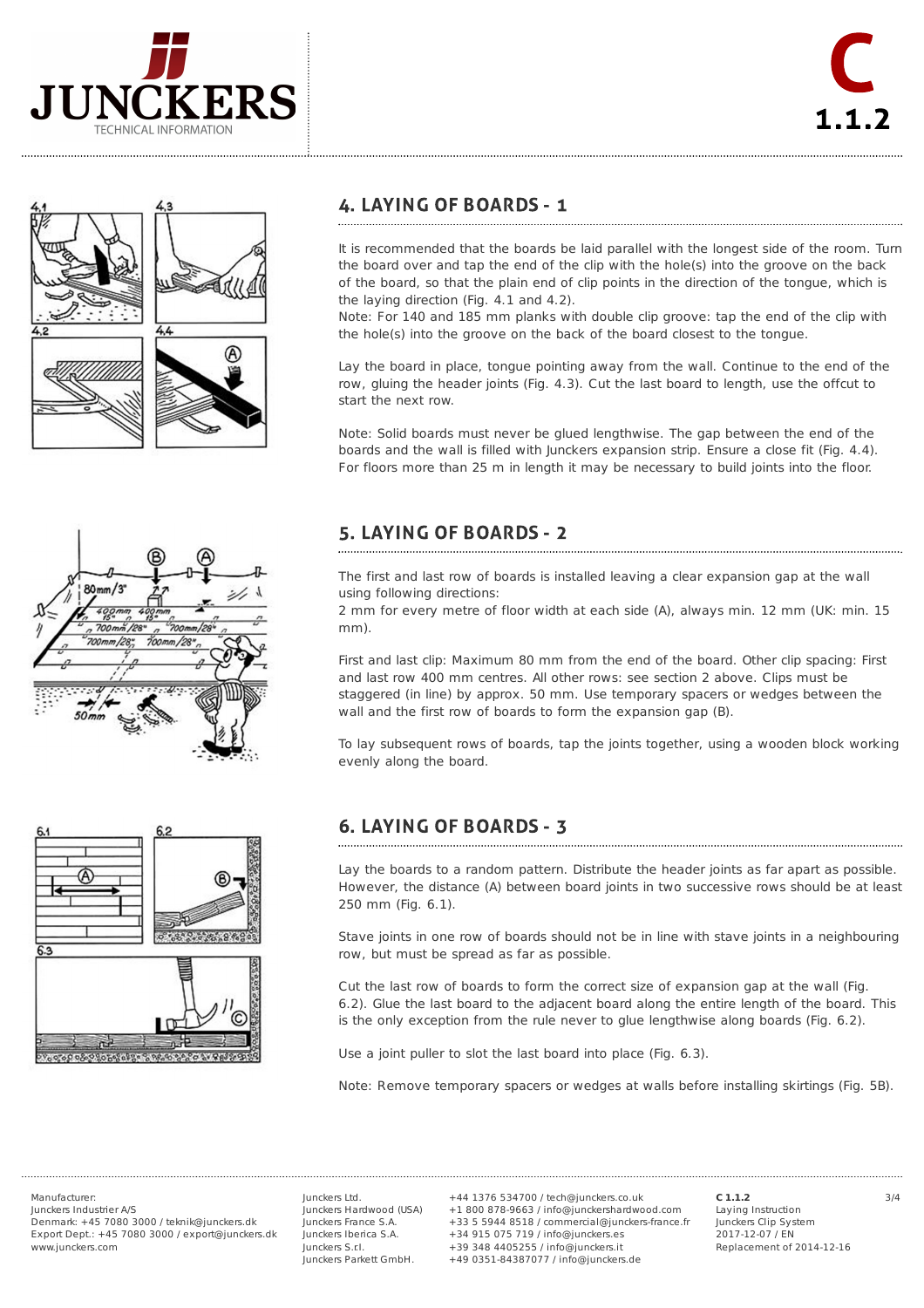









### **4. LAYING OF BOARDS - 1**

It is recommended that the boards be laid parallel with the longest side of the room. Turn the board over and tap the end of the clip with the hole(s) into the groove on the back of the board, so that the plain end of clip points in the direction of the tongue, which is the laying direction (Fig. 4.1 and 4.2).

Note: For 140 and 185 mm planks with double clip groove: tap the end of the clip with the hole(s) into the groove on the back of the board closest to the tongue.

Lay the board in place, tongue pointing away from the wall. Continue to the end of the row, gluing the header joints (Fig. 4.3). Cut the last board to length, use the offcut to start the next row.

Note: Solid boards must never be glued lengthwise. The gap between the end of the boards and the wall is filled with Junckers expansion strip. Ensure a close fit (Fig. 4.4). For floors more than 25 m in length it may be necessary to build joints into the floor.

## 5. LAYING OF BOARDS - 2

The first and last row of boards is installed leaving a clear expansion gap at the wall using following directions:

2 mm for every metre of floor width at each side (A), always min. 12 mm (UK: min. 15 mm).

First and last clip: Maximum 80 mm from the end of the board. Other clip spacing: First and last row 400 mm centres. All other rows: see section 2 above. Clips must be staggered (in line) by approx. 50 mm. Use temporary spacers or wedges between the wall and the first row of boards to form the expansion gap (B).

To lay subsequent rows of boards, tap the joints together, using a wooden block working evenly along the board.

#### **6. LAYING OF BOARDS - 3**

Lay the boards to a random pattern. Distribute the header joints as far apart as possible. However, the distance (A) between board joints in two successive rows should be at least 250 mm (Fig. 6.1).

Stave joints in one row of boards should not be in line with stave joints in a neighbouring row, but must be spread as far as possible.

Cut the last row of boards to form the correct size of expansion gap at the wall (Fig. 6.2). Glue the last board to the adjacent board along the entire length of the board. This is the only exception from the rule never to glue lengthwise along boards (Fig. 6.2).

Use a joint puller to slot the last board into place (Fig. 6.3).

Note: Remove temporary spacers or wedges at walls before installing skirtings (Fig. 5B).

Junckers Industrier A/S Denmark: +45 7080 3000 / teknik@junckers.dk Export Dept.: +45 7080 3000 / export@junckers.dk www.junckers.com

Junckers Ltd. Junckers Hardwood (USA) Junckers France S.A. Junckers Iberica S.A. Junckers S.r.I. Junckers Parkett GmbH.

Manufacturer: 3/4 +44 1376 534700 / tech@junckers.co.uk +1 800 878-9663 / info@junckershardwood.com +33 5 5944 8518 / commercial@junckers-france.fr +34 915 075 719 / info@junckers.es +39 348 4405255 / info@junckers.it +49 0351-84387077 / info@junckers.de